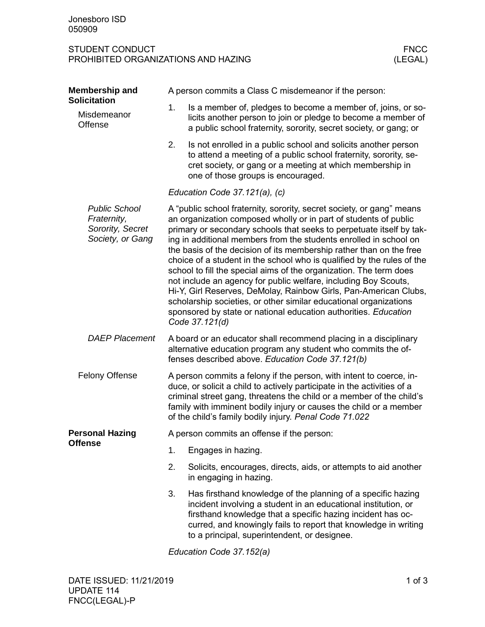## STUDENT CONDUCT FNCC PROHIBITED ORGANIZATIONS AND HAZING

| Membership and<br><b>Solicitation</b>                                       | A person commits a Class C misdemeanor if the person:                                                                                                                                                                                                                                                                                                                                                                                                                                                                                                                                                                                                                                                                                                                                                          |                                                                                                                                                                                                                                                                                                                  |  |  |  |
|-----------------------------------------------------------------------------|----------------------------------------------------------------------------------------------------------------------------------------------------------------------------------------------------------------------------------------------------------------------------------------------------------------------------------------------------------------------------------------------------------------------------------------------------------------------------------------------------------------------------------------------------------------------------------------------------------------------------------------------------------------------------------------------------------------------------------------------------------------------------------------------------------------|------------------------------------------------------------------------------------------------------------------------------------------------------------------------------------------------------------------------------------------------------------------------------------------------------------------|--|--|--|
| Misdemeanor<br>Offense                                                      | 1.                                                                                                                                                                                                                                                                                                                                                                                                                                                                                                                                                                                                                                                                                                                                                                                                             | Is a member of, pledges to become a member of, joins, or so-<br>licits another person to join or pledge to become a member of<br>a public school fraternity, sorority, secret society, or gang; or                                                                                                               |  |  |  |
|                                                                             | 2.                                                                                                                                                                                                                                                                                                                                                                                                                                                                                                                                                                                                                                                                                                                                                                                                             | Is not enrolled in a public school and solicits another person<br>to attend a meeting of a public school fraternity, sorority, se-<br>cret society, or gang or a meeting at which membership in<br>one of those groups is encouraged.                                                                            |  |  |  |
|                                                                             | Education Code 37.121(a), (c)                                                                                                                                                                                                                                                                                                                                                                                                                                                                                                                                                                                                                                                                                                                                                                                  |                                                                                                                                                                                                                                                                                                                  |  |  |  |
| <b>Public School</b><br>Fraternity,<br>Sorority, Secret<br>Society, or Gang | A "public school fraternity, sorority, secret society, or gang" means<br>an organization composed wholly or in part of students of public<br>primary or secondary schools that seeks to perpetuate itself by tak-<br>ing in additional members from the students enrolled in school on<br>the basis of the decision of its membership rather than on the free<br>choice of a student in the school who is qualified by the rules of the<br>school to fill the special aims of the organization. The term does<br>not include an agency for public welfare, including Boy Scouts,<br>Hi-Y, Girl Reserves, DeMolay, Rainbow Girls, Pan-American Clubs,<br>scholarship societies, or other similar educational organizations<br>sponsored by state or national education authorities. Education<br>Code 37.121(d) |                                                                                                                                                                                                                                                                                                                  |  |  |  |
| <b>DAEP Placement</b>                                                       | A board or an educator shall recommend placing in a disciplinary<br>alternative education program any student who commits the of-<br>fenses described above. Education Code 37.121(b)                                                                                                                                                                                                                                                                                                                                                                                                                                                                                                                                                                                                                          |                                                                                                                                                                                                                                                                                                                  |  |  |  |
| <b>Felony Offense</b>                                                       | A person commits a felony if the person, with intent to coerce, in-<br>duce, or solicit a child to actively participate in the activities of a<br>criminal street gang, threatens the child or a member of the child's<br>family with imminent bodily injury or causes the child or a member<br>of the child's family bodily injury. Penal Code 71.022                                                                                                                                                                                                                                                                                                                                                                                                                                                         |                                                                                                                                                                                                                                                                                                                  |  |  |  |
| <b>Personal Hazing</b><br><b>Offense</b>                                    | A person commits an offense if the person:                                                                                                                                                                                                                                                                                                                                                                                                                                                                                                                                                                                                                                                                                                                                                                     |                                                                                                                                                                                                                                                                                                                  |  |  |  |
|                                                                             | 1.                                                                                                                                                                                                                                                                                                                                                                                                                                                                                                                                                                                                                                                                                                                                                                                                             | Engages in hazing.                                                                                                                                                                                                                                                                                               |  |  |  |
|                                                                             | 2.                                                                                                                                                                                                                                                                                                                                                                                                                                                                                                                                                                                                                                                                                                                                                                                                             | Solicits, encourages, directs, aids, or attempts to aid another<br>in engaging in hazing.                                                                                                                                                                                                                        |  |  |  |
|                                                                             | 3.                                                                                                                                                                                                                                                                                                                                                                                                                                                                                                                                                                                                                                                                                                                                                                                                             | Has firsthand knowledge of the planning of a specific hazing<br>incident involving a student in an educational institution, or<br>firsthand knowledge that a specific hazing incident has oc-<br>curred, and knowingly fails to report that knowledge in writing<br>to a principal, superintendent, or designee. |  |  |  |

*Education Code 37.152(a)*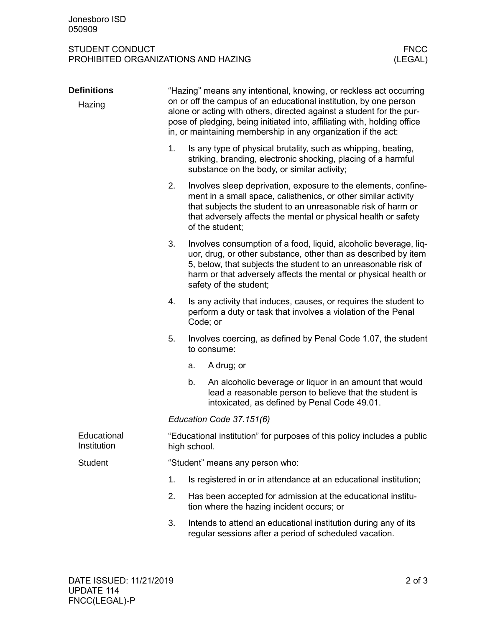## STUDENT CONDUCT FNCC PROHIBITED ORGANIZATIONS AND HAZING

| <b>Definitions</b><br>Hazing | "Hazing" means any intentional, knowing, or reckless act occurring<br>on or off the campus of an educational institution, by one person<br>alone or acting with others, directed against a student for the pur-<br>pose of pledging, being initiated into, affiliating with, holding office<br>in, or maintaining membership in any organization if the act: |                                                                                                                                                                                                                                                                                                   |                                                                                                                                                                                                                                                                                       |  |  |  |
|------------------------------|--------------------------------------------------------------------------------------------------------------------------------------------------------------------------------------------------------------------------------------------------------------------------------------------------------------------------------------------------------------|---------------------------------------------------------------------------------------------------------------------------------------------------------------------------------------------------------------------------------------------------------------------------------------------------|---------------------------------------------------------------------------------------------------------------------------------------------------------------------------------------------------------------------------------------------------------------------------------------|--|--|--|
|                              | 1.                                                                                                                                                                                                                                                                                                                                                           | Is any type of physical brutality, such as whipping, beating,<br>striking, branding, electronic shocking, placing of a harmful<br>substance on the body, or similar activity;                                                                                                                     |                                                                                                                                                                                                                                                                                       |  |  |  |
|                              | 2.                                                                                                                                                                                                                                                                                                                                                           |                                                                                                                                                                                                                                                                                                   | Involves sleep deprivation, exposure to the elements, confine-<br>ment in a small space, calisthenics, or other similar activity<br>that subjects the student to an unreasonable risk of harm or<br>that adversely affects the mental or physical health or safety<br>of the student; |  |  |  |
|                              | 3.                                                                                                                                                                                                                                                                                                                                                           | Involves consumption of a food, liquid, alcoholic beverage, liq-<br>uor, drug, or other substance, other than as described by item<br>5, below, that subjects the student to an unreasonable risk of<br>harm or that adversely affects the mental or physical health or<br>safety of the student; |                                                                                                                                                                                                                                                                                       |  |  |  |
|                              | 4.                                                                                                                                                                                                                                                                                                                                                           | Is any activity that induces, causes, or requires the student to<br>perform a duty or task that involves a violation of the Penal<br>Code; or                                                                                                                                                     |                                                                                                                                                                                                                                                                                       |  |  |  |
|                              | 5.                                                                                                                                                                                                                                                                                                                                                           |                                                                                                                                                                                                                                                                                                   | Involves coercing, as defined by Penal Code 1.07, the student<br>to consume:                                                                                                                                                                                                          |  |  |  |
|                              |                                                                                                                                                                                                                                                                                                                                                              | a.                                                                                                                                                                                                                                                                                                | A drug; or                                                                                                                                                                                                                                                                            |  |  |  |
|                              |                                                                                                                                                                                                                                                                                                                                                              | b.                                                                                                                                                                                                                                                                                                | An alcoholic beverage or liquor in an amount that would<br>lead a reasonable person to believe that the student is<br>intoxicated, as defined by Penal Code 49.01.                                                                                                                    |  |  |  |
|                              | Education Code 37.151(6)                                                                                                                                                                                                                                                                                                                                     |                                                                                                                                                                                                                                                                                                   |                                                                                                                                                                                                                                                                                       |  |  |  |
| Educational<br>Institution   |                                                                                                                                                                                                                                                                                                                                                              | "Educational institution" for purposes of this policy includes a public<br>high school.                                                                                                                                                                                                           |                                                                                                                                                                                                                                                                                       |  |  |  |
| <b>Student</b>               | "Student" means any person who:                                                                                                                                                                                                                                                                                                                              |                                                                                                                                                                                                                                                                                                   |                                                                                                                                                                                                                                                                                       |  |  |  |
|                              | 1.                                                                                                                                                                                                                                                                                                                                                           |                                                                                                                                                                                                                                                                                                   | Is registered in or in attendance at an educational institution;                                                                                                                                                                                                                      |  |  |  |
|                              | 2.                                                                                                                                                                                                                                                                                                                                                           |                                                                                                                                                                                                                                                                                                   | Has been accepted for admission at the educational institu-<br>tion where the hazing incident occurs; or                                                                                                                                                                              |  |  |  |
|                              | 3.                                                                                                                                                                                                                                                                                                                                                           |                                                                                                                                                                                                                                                                                                   | Intends to attend an educational institution during any of its<br>regular sessions after a period of scheduled vacation.                                                                                                                                                              |  |  |  |